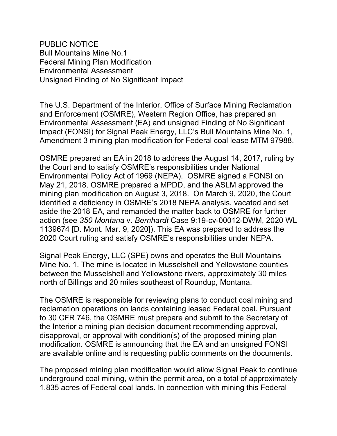PUBLIC NOTICE Bull Mountains Mine No.1 Federal Mining Plan Modification Environmental Assessment Unsigned Finding of No Significant Impact

The U.S. Department of the Interior, Office of Surface Mining Reclamation and Enforcement (OSMRE), Western Region Office, has prepared an Environmental Assessment (EA) and unsigned Finding of No Significant Impact (FONSI) for Signal Peak Energy, LLC's Bull Mountains Mine No. 1, Amendment 3 mining plan modification for Federal coal lease MTM 97988.

OSMRE prepared an EA in 2018 to address the August 14, 2017, ruling by the Court and to satisfy OSMRE's responsibilities under National Environmental Policy Act of 1969 (NEPA). OSMRE signed a FONSI on May 21, 2018. OSMRE prepared a MPDD, and the ASLM approved the mining plan modification on August 3, 2018. On March 9, 2020, the Court identified a deficiency in OSMRE's 2018 NEPA analysis, vacated and set aside the 2018 EA, and remanded the matter back to OSMRE for further action (see *350 Montana* v. *Bernhardt* Case 9:19-cv-00012-DWM, 2020 WL 1139674 [D. Mont. Mar. 9, 2020]). This EA was prepared to address the 2020 Court ruling and satisfy OSMRE's responsibilities under NEPA.

Signal Peak Energy, LLC (SPE) owns and operates the Bull Mountains Mine No. 1. The mine is located in Musselshell and Yellowstone counties between the Musselshell and Yellowstone rivers, approximately 30 miles north of Billings and 20 miles southeast of Roundup, Montana.

The OSMRE is responsible for reviewing plans to conduct coal mining and reclamation operations on lands containing leased Federal coal. Pursuant to 30 CFR 746, the OSMRE must prepare and submit to the Secretary of the Interior a mining plan decision document recommending approval, disapproval, or approval with condition(s) of the proposed mining plan modification. OSMRE is announcing that the EA and an unsigned FONSI are available online and is requesting public comments on the documents.

The proposed mining plan modification would allow Signal Peak to continue underground coal mining, within the permit area, on a total of approximately 1,835 acres of Federal coal lands. In connection with mining this Federal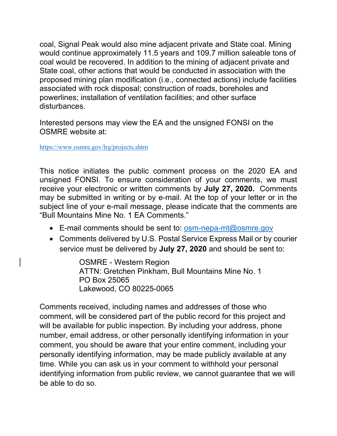coal, Signal Peak would also mine adjacent private and State coal. Mining would continue approximately 11.5 years and 109.7 million saleable tons of coal would be recovered. In addition to the mining of adjacent private and State coal, other actions that would be conducted in association with the proposed mining plan modification (i.e., connected actions) include facilities associated with rock disposal; construction of roads, boreholes and powerlines; installation of ventilation facilities; and other surface disturbances.

Interested persons may view the EA and the unsigned FONSI on the OSMRE website at:

<https://www.osmre.gov/lrg/projects.shtm>

This notice initiates the public comment process on the 2020 EA and unsigned FONSI. To ensure consideration of your comments, we must receive your electronic or written comments by **July 27, 2020.** Comments may be submitted in writing or by e-mail. At the top of your letter or in the subject line of your e-mail message, please indicate that the comments are "Bull Mountains Mine No. 1 EA Comments."

- E-mail comments should be sent to: [osm-nepa-mt@osmre.gov](mailto:osm-nepa-mt@osmre.gov)
- Comments delivered by U.S. Postal Service Express Mail or by courier service must be delivered by **July 27, 2020** and should be sent to:

OSMRE - Western Region ATTN: Gretchen Pinkham, Bull Mountains Mine No. 1 PO Box 25065 Lakewood, CO 80225-0065

Comments received, including names and addresses of those who comment, will be considered part of the public record for this project and will be available for public inspection. By including your address, phone number, email address, or other personally identifying information in your comment, you should be aware that your entire comment, including your personally identifying information, may be made publicly available at any time. While you can ask us in your comment to withhold your personal identifying information from public review, we cannot guarantee that we will be able to do so.